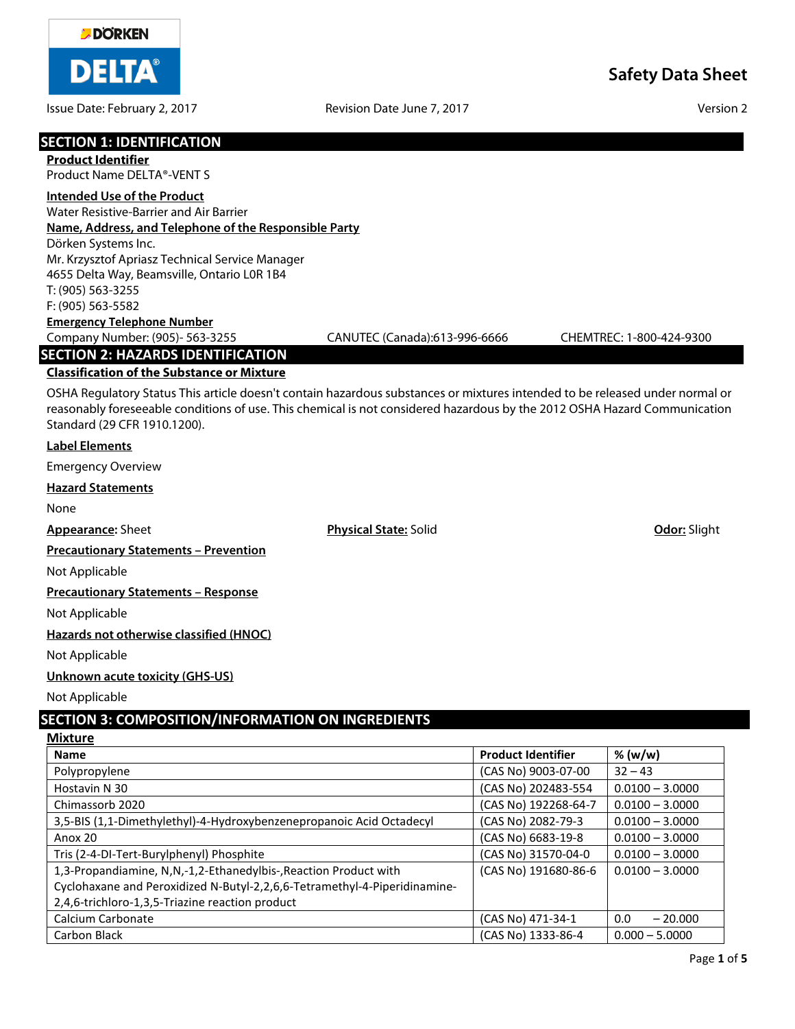

Issue Date: February 2, 2017 **Revision Date June 7, 2017** Assue Date: February 2, 2017

| <b>SECTION 1: IDENTIFICATION</b>                                                                                             |                               |                          |
|------------------------------------------------------------------------------------------------------------------------------|-------------------------------|--------------------------|
| <b>Product Identifier</b>                                                                                                    |                               |                          |
| Product Name DFI TA®-VFNT S                                                                                                  |                               |                          |
| <b>Intended Use of the Product</b>                                                                                           |                               |                          |
| Water Resistive-Barrier and Air Barrier                                                                                      |                               |                          |
| Name, Address, and Telephone of the Responsible Party                                                                        |                               |                          |
| Dörken Systems Inc.                                                                                                          |                               |                          |
| Mr. Krzysztof Apriasz Technical Service Manager                                                                              |                               |                          |
| 4655 Delta Way, Beamsville, Ontario L0R 1B4                                                                                  |                               |                          |
| T: (905) 563-3255                                                                                                            |                               |                          |
| F: (905) 563-5582                                                                                                            |                               |                          |
| <b>Emergency Telephone Number</b><br>Company Number: (905)- 563-3255                                                         | CANUTEC (Canada):613-996-6666 | CHEMTREC: 1-800-424-9300 |
|                                                                                                                              |                               |                          |
| <b>SECTION 2: HAZARDS IDENTIFICATION</b>                                                                                     |                               |                          |
| <b>Classification of the Substance or Mixture</b>                                                                            |                               |                          |
| OSHA Regulatory Status This article doesn't contain hazardous substances or mixtures intended to be released under normal or |                               |                          |
| reasonably foreseeable conditions of use. This chemical is not considered hazardous by the 2012 OSHA Hazard Communication    |                               |                          |
| Standard (29 CFR 1910.1200).                                                                                                 |                               |                          |
| <b>Label Elements</b>                                                                                                        |                               |                          |
| <b>Emergency Overview</b>                                                                                                    |                               |                          |
| <b>Hazard Statements</b>                                                                                                     |                               |                          |
| None                                                                                                                         |                               |                          |
| <b>Appearance: Sheet</b>                                                                                                     | <b>Physical State: Solid</b>  | Odor: Slight             |
| <b>Precautionary Statements - Prevention</b>                                                                                 |                               |                          |
| Not Applicable                                                                                                               |                               |                          |

**Precautionary Statements – Response**

Not Applicable

**Hazards not otherwise classified (HNOC)**

Not Applicable

## **Unknown acute toxicity (GHS-US)**

Not Applicable

# **SECTION 3: COMPOSITION/INFORMATION ON INGREDIENTS**

**Mixture**

| <b>Name</b>                                                               | <b>Product Identifier</b> | % (w/w)           |
|---------------------------------------------------------------------------|---------------------------|-------------------|
| Polypropylene                                                             | (CAS No) 9003-07-00       | $32 - 43$         |
| Hostavin N 30                                                             | (CAS No) 202483-554       | $0.0100 - 3.0000$ |
| Chimassorb 2020                                                           | (CAS No) 192268-64-7      | $0.0100 - 3.0000$ |
| 3,5-BIS (1,1-Dimethylethyl)-4-Hydroxybenzenepropanoic Acid Octadecyl      | (CAS No) 2082-79-3        | $0.0100 - 3.0000$ |
| Anox 20                                                                   | (CAS No) 6683-19-8        | $0.0100 - 3.0000$ |
| Tris (2-4-DI-Tert-Burylphenyl) Phosphite                                  | (CAS No) 31570-04-0       | $0.0100 - 3.0000$ |
| 1,3-Propandiamine, N,N,-1,2-Ethanedylbis-, Reaction Product with          | (CAS No) 191680-86-6      | $0.0100 - 3.0000$ |
| Cyclohaxane and Peroxidized N-Butyl-2,2,6,6-Tetramethyl-4-Piperidinamine- |                           |                   |
| 2,4,6-trichloro-1,3,5-Triazine reaction product                           |                           |                   |
| Calcium Carbonate                                                         | (CAS No) 471-34-1         | 0.0<br>$-20.000$  |
| Carbon Black                                                              | (CAS No) 1333-86-4        | $0.000 - 5.0000$  |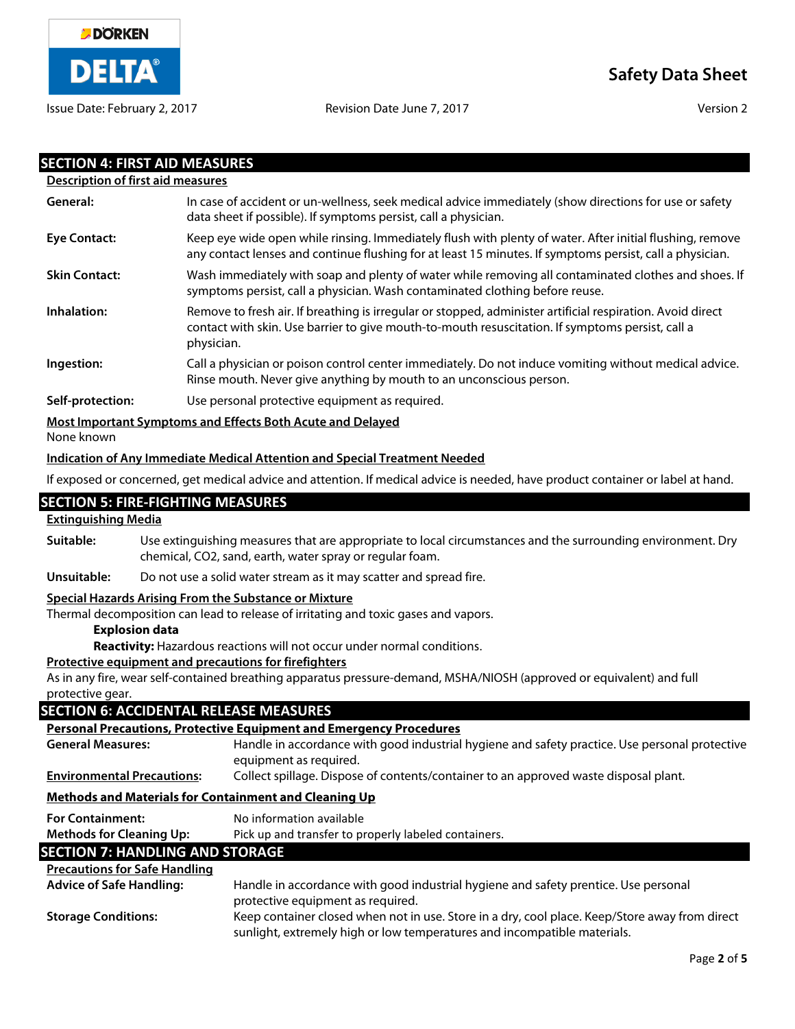

| <b>SECTION 4: FIRST AID MEASURES</b><br><b>Description of first aid measures</b> |                                                                                                                                                                                                                              |
|----------------------------------------------------------------------------------|------------------------------------------------------------------------------------------------------------------------------------------------------------------------------------------------------------------------------|
| General:                                                                         | In case of accident or un-wellness, seek medical advice immediately (show directions for use or safety                                                                                                                       |
|                                                                                  | data sheet if possible). If symptoms persist, call a physician.                                                                                                                                                              |
| <b>Eye Contact:</b>                                                              | Keep eye wide open while rinsing. Immediately flush with plenty of water. After initial flushing, remove<br>any contact lenses and continue flushing for at least 15 minutes. If symptoms persist, call a physician.         |
| <b>Skin Contact:</b>                                                             | Wash immediately with soap and plenty of water while removing all contaminated clothes and shoes. If<br>symptoms persist, call a physician. Wash contaminated clothing before reuse.                                         |
| Inhalation:                                                                      | Remove to fresh air. If breathing is irregular or stopped, administer artificial respiration. Avoid direct<br>contact with skin. Use barrier to give mouth-to-mouth resuscitation. If symptoms persist, call a<br>physician. |
| Ingestion:                                                                       | Call a physician or poison control center immediately. Do not induce vomiting without medical advice.<br>Rinse mouth. Never give anything by mouth to an unconscious person.                                                 |
| Self-protection:                                                                 | Use personal protective equipment as required.                                                                                                                                                                               |
| None known                                                                       | Most Important Symptoms and Effects Both Acute and Delayed                                                                                                                                                                   |
|                                                                                  | <b>Indication of Any Immediate Medical Attention and Special Treatment Needed</b>                                                                                                                                            |
|                                                                                  | If exposed or concerned, get medical advice and attention. If medical advice is needed, have product container or label at hand.                                                                                             |
|                                                                                  | <b>SECTION 5: FIRE-FIGHTING MEASURES</b>                                                                                                                                                                                     |
| <b>Extinguishing Media</b>                                                       |                                                                                                                                                                                                                              |
| Suitable:                                                                        | Use extinguishing measures that are appropriate to local circumstances and the surrounding environment. Dry<br>chemical, CO2, sand, earth, water spray or regular foam.                                                      |
| Unsuitable:                                                                      | Do not use a solid water stream as it may scatter and spread fire.                                                                                                                                                           |
| <b>Explosion data</b>                                                            | Special Hazards Arising From the Substance or Mixture<br>Thermal decomposition can lead to release of irritating and toxic gases and vapors.<br>Reactivity: Hazardous reactions will not occur under normal conditions.      |
| protective gear.                                                                 | Protective equipment and precautions for firefighters<br>As in any fire, wear self-contained breathing apparatus pressure-demand, MSHA/NIOSH (approved or equivalent) and full                                               |
|                                                                                  | <b>SECTION 6: ACCIDENTAL RELEASE MEASURES</b>                                                                                                                                                                                |
|                                                                                  | <b>Personal Precautions, Protective Equipment and Emergency Procedures</b>                                                                                                                                                   |
| <b>General Measures:</b>                                                         | Handle in accordance with good industrial hygiene and safety practice. Use personal protective<br>equipment as required.                                                                                                     |
| <b>Environmental Precautions:</b>                                                | Collect spillage. Dispose of contents/container to an approved waste disposal plant.                                                                                                                                         |
|                                                                                  | <b>Methods and Materials for Containment and Cleaning Up</b>                                                                                                                                                                 |
| <b>For Containment:</b>                                                          | No information available                                                                                                                                                                                                     |
| <b>Methods for Cleaning Up:</b>                                                  | Pick up and transfer to properly labeled containers.<br><b>SECTION 7: HANDLING AND STORAGE</b>                                                                                                                               |
| <b>Precautions for Safe Handling</b>                                             |                                                                                                                                                                                                                              |
| <b>Advice of Safe Handling:</b>                                                  | Handle in accordance with good industrial hygiene and safety prentice. Use personal<br>protective equipment as required.                                                                                                     |
| <b>Storage Conditions:</b>                                                       | Keep container closed when not in use. Store in a dry, cool place. Keep/Store away from direct<br>sunlight, extremely high or low temperatures and incompatible materials.                                                   |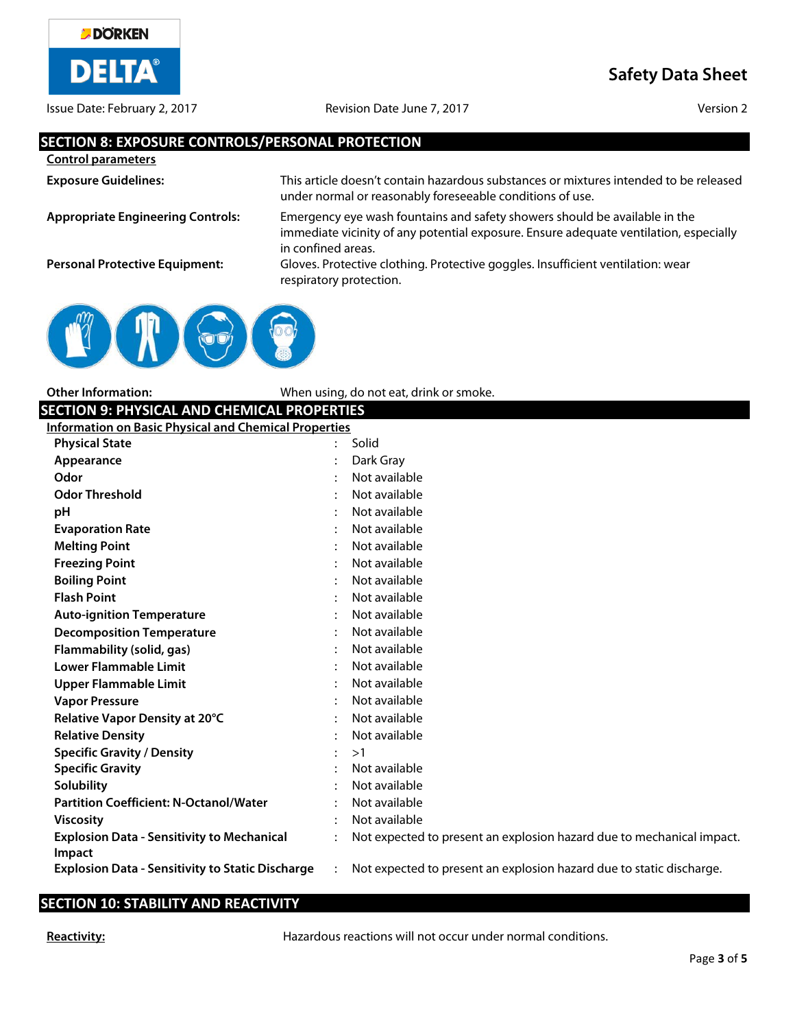

Issue Date: February 2, 2017 Revision Date June 7, 2017 Version 2

**Safety Data Sheet**

### **SECTION 8: EXPOSURE CONTROLS/PERSONAL PROTECTION**

| <b>Control parameters</b>                |                                                                                                                                                                                           |
|------------------------------------------|-------------------------------------------------------------------------------------------------------------------------------------------------------------------------------------------|
| <b>Exposure Guidelines:</b>              | This article doesn't contain hazardous substances or mixtures intended to be released<br>under normal or reasonably foreseeable conditions of use.                                        |
| <b>Appropriate Engineering Controls:</b> | Emergency eye wash fountains and safety showers should be available in the<br>immediate vicinity of any potential exposure. Ensure adequate ventilation, especially<br>in confined areas. |
| <b>Personal Protective Equipment:</b>    | Gloves. Protective clothing. Protective goggles. Insufficient ventilation: wear<br>respiratory protection.                                                                                |



**Other Information:** When using, do not eat, drink or smoke.

## **SECTION 9: PHYSICAL AND CHEMICAL PROPERTIES**

| Information on Basic Physical and Chemical Properties |
|-------------------------------------------------------|
|                                                       |

| <b>Physical State</b>                                   | Solid                                                                 |
|---------------------------------------------------------|-----------------------------------------------------------------------|
| Appearance                                              | Dark Gray                                                             |
| Odor                                                    | Not available                                                         |
| <b>Odor Threshold</b>                                   | Not available                                                         |
| рH                                                      | Not available                                                         |
| <b>Evaporation Rate</b>                                 | Not available                                                         |
| <b>Melting Point</b>                                    | Not available                                                         |
| <b>Freezing Point</b>                                   | Not available                                                         |
| <b>Boiling Point</b>                                    | Not available                                                         |
| <b>Flash Point</b>                                      | Not available                                                         |
| <b>Auto-ignition Temperature</b>                        | Not available                                                         |
| <b>Decomposition Temperature</b>                        | Not available                                                         |
| Flammability (solid, gas)                               | Not available                                                         |
| <b>Lower Flammable Limit</b>                            | Not available                                                         |
| <b>Upper Flammable Limit</b>                            | Not available                                                         |
| <b>Vapor Pressure</b>                                   | Not available                                                         |
| Relative Vapor Density at 20°C                          | Not available                                                         |
| <b>Relative Density</b>                                 | Not available                                                         |
| <b>Specific Gravity / Density</b>                       | >1                                                                    |
| <b>Specific Gravity</b>                                 | Not available                                                         |
| <b>Solubility</b>                                       | Not available                                                         |
| <b>Partition Coefficient: N-Octanol/Water</b>           | Not available                                                         |
| <b>Viscosity</b>                                        | Not available                                                         |
| <b>Explosion Data - Sensitivity to Mechanical</b>       | Not expected to present an explosion hazard due to mechanical impact. |
| Impact                                                  |                                                                       |
| <b>Explosion Data - Sensitivity to Static Discharge</b> | Not expected to present an explosion hazard due to static discharge.  |

## **SECTION 10: STABILITY AND REACTIVITY**

**Reactivity: Reactivity: Hazardous reactions will not occur under normal conditions.**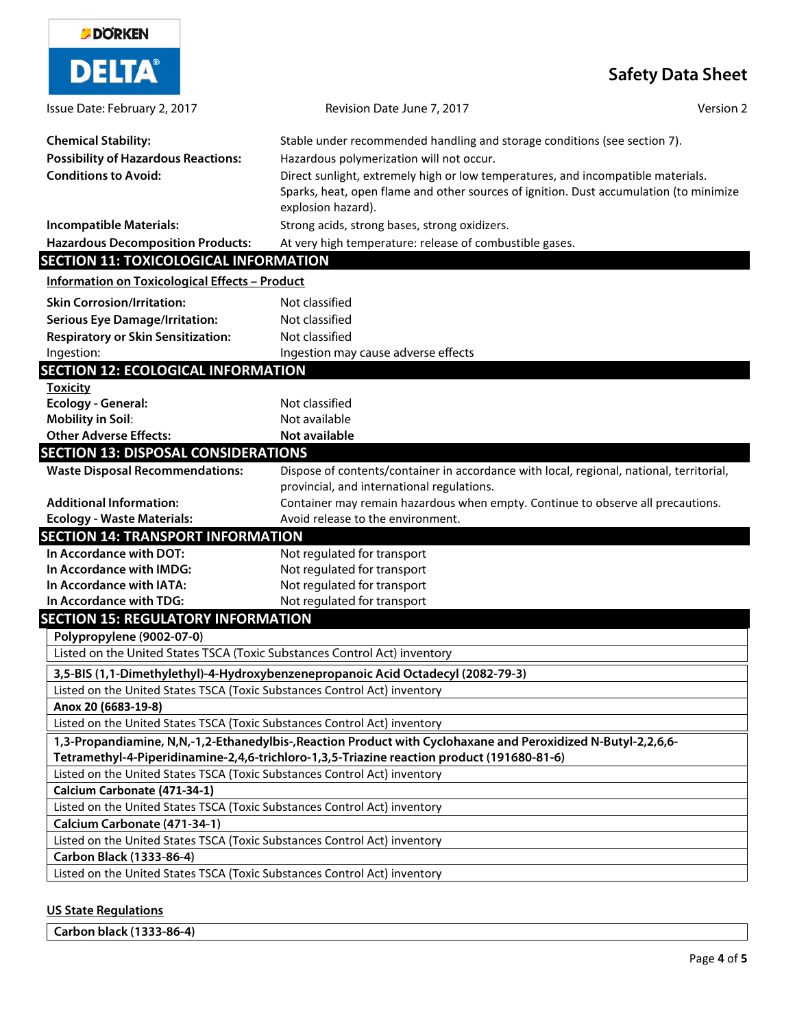| <b>DORKEN</b>                                                                                          |                                                                                                                                                                                                            |
|--------------------------------------------------------------------------------------------------------|------------------------------------------------------------------------------------------------------------------------------------------------------------------------------------------------------------|
| <b>DELTA®</b>                                                                                          | <b>Safety Data Sheet</b>                                                                                                                                                                                   |
| Issue Date: February 2, 2017                                                                           | Version 2<br>Revision Date June 7, 2017                                                                                                                                                                    |
| <b>Chemical Stability:</b>                                                                             | Stable under recommended handling and storage conditions (see section 7).                                                                                                                                  |
| <b>Possibility of Hazardous Reactions:</b>                                                             | Hazardous polymerization will not occur.                                                                                                                                                                   |
| <b>Conditions to Avoid:</b>                                                                            | Direct sunlight, extremely high or low temperatures, and incompatible materials.<br>Sparks, heat, open flame and other sources of ignition. Dust accumulation (to minimize<br>explosion hazard).           |
| <b>Incompatible Materials:</b>                                                                         | Strong acids, strong bases, strong oxidizers.                                                                                                                                                              |
| <b>Hazardous Decomposition Products:</b>                                                               | At very high temperature: release of combustible gases.                                                                                                                                                    |
| <b>SECTION 11: TOXICOLOGICAL INFORMATION</b>                                                           |                                                                                                                                                                                                            |
| <b>Information on Toxicological Effects - Product</b>                                                  |                                                                                                                                                                                                            |
|                                                                                                        | Not classified                                                                                                                                                                                             |
| <b>Skin Corrosion/Irritation:</b>                                                                      |                                                                                                                                                                                                            |
| <b>Serious Eye Damage/Irritation:</b>                                                                  | Not classified<br>Not classified                                                                                                                                                                           |
| <b>Respiratory or Skin Sensitization:</b><br>Ingestion:                                                | Ingestion may cause adverse effects                                                                                                                                                                        |
| <b>SECTION 12: ECOLOGICAL INFORMATION</b>                                                              |                                                                                                                                                                                                            |
| <b>Toxicity</b>                                                                                        |                                                                                                                                                                                                            |
| <b>Ecology - General:</b>                                                                              | Not classified                                                                                                                                                                                             |
| <b>Mobility in Soil:</b>                                                                               | Not available                                                                                                                                                                                              |
| <b>Other Adverse Effects:</b>                                                                          | Not available                                                                                                                                                                                              |
| <b>SECTION 13: DISPOSAL CONSIDERATIONS</b>                                                             |                                                                                                                                                                                                            |
| <b>Waste Disposal Recommendations:</b>                                                                 | Dispose of contents/container in accordance with local, regional, national, territorial,                                                                                                                   |
|                                                                                                        | provincial, and international regulations.                                                                                                                                                                 |
| <b>Additional Information:</b>                                                                         | Container may remain hazardous when empty. Continue to observe all precautions.                                                                                                                            |
| <b>Ecology - Waste Materials:</b>                                                                      | Avoid release to the environment.                                                                                                                                                                          |
| <b>SECTION 14: TRANSPORT INFORMATION</b>                                                               |                                                                                                                                                                                                            |
| In Accordance with DOT:                                                                                | Not regulated for transport                                                                                                                                                                                |
| In Accordance with IMDG:                                                                               | Not regulated for transport                                                                                                                                                                                |
| In Accordance with IATA:                                                                               | Not regulated for transport                                                                                                                                                                                |
| In Accordance with TDG:                                                                                | Not regulated for transport                                                                                                                                                                                |
| <b>SECTION 15: REGULATORY INFORMATION</b>                                                              |                                                                                                                                                                                                            |
| Polypropylene (9002-07-0)<br>Listed on the United States TSCA (Toxic Substances Control Act) inventory |                                                                                                                                                                                                            |
|                                                                                                        |                                                                                                                                                                                                            |
|                                                                                                        | 3,5-BIS (1,1-Dimethylethyl)-4-Hydroxybenzenepropanoic Acid Octadecyl (2082-79-3)                                                                                                                           |
| Listed on the United States TSCA (Toxic Substances Control Act) inventory                              |                                                                                                                                                                                                            |
| Anox 20 (6683-19-8)<br>Listed on the United States TSCA (Toxic Substances Control Act) inventory       |                                                                                                                                                                                                            |
|                                                                                                        |                                                                                                                                                                                                            |
|                                                                                                        | 1,3-Propandiamine, N,N,-1,2-Ethanedylbis-,Reaction Product with Cyclohaxane and Peroxidized N-Butyl-2,2,6,6-<br>Tetramethyl-4-Piperidinamine-2,4,6-trichloro-1,3,5-Triazine reaction product (191680-81-6) |
| Listed on the United States TSCA (Toxic Substances Control Act) inventory                              |                                                                                                                                                                                                            |
| Calcium Carbonate (471-34-1)                                                                           |                                                                                                                                                                                                            |
| Listed on the United States TSCA (Toxic Substances Control Act) inventory                              |                                                                                                                                                                                                            |
| Calcium Carbonate (471-34-1)                                                                           |                                                                                                                                                                                                            |
| Listed on the United States TSCA (Toxic Substances Control Act) inventory                              |                                                                                                                                                                                                            |
| Carbon Black (1333-86-4)                                                                               |                                                                                                                                                                                                            |
| Listed on the United States TSCA (Toxic Substances Control Act) inventory                              |                                                                                                                                                                                                            |
|                                                                                                        |                                                                                                                                                                                                            |

### **US State Regulations**

| Carbon black (1333-86-4) |  |
|--------------------------|--|
|--------------------------|--|